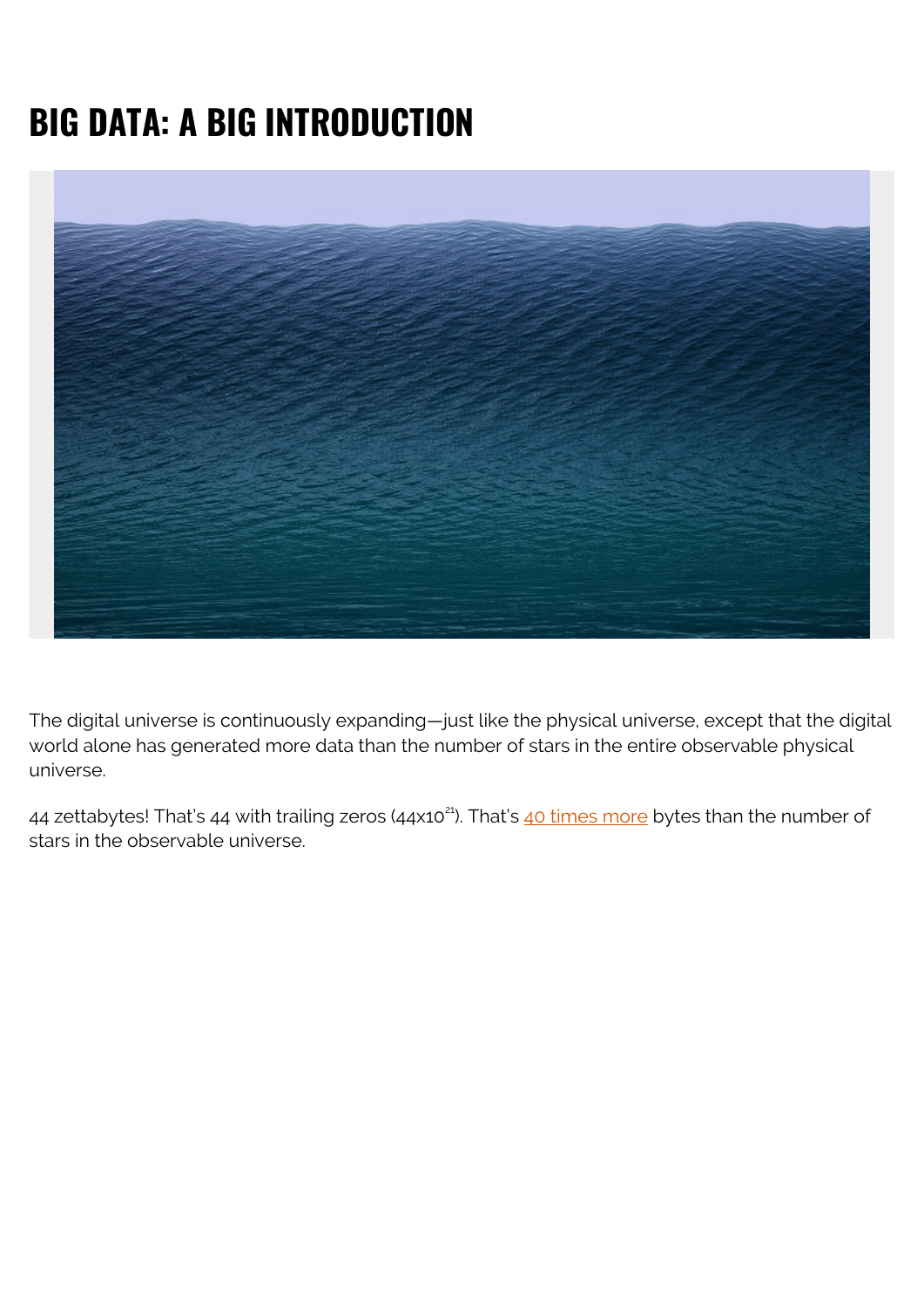# **BIG DATA: A BIG INTRODUCTION**



The digital universe is continuously expanding—just like the physical universe, except that the digital world alone has generated more data than the number of stars in the entire observable physical universe.

44 zettabytes! That's 44 with trailing zeros (44x10<sup>21</sup>). That's [40 times more](https://www.weforum.org/agenda/2019/04/how-much-data-is-generated-each-day-cf4bddf29f/) bytes than the number of stars in the observable universe.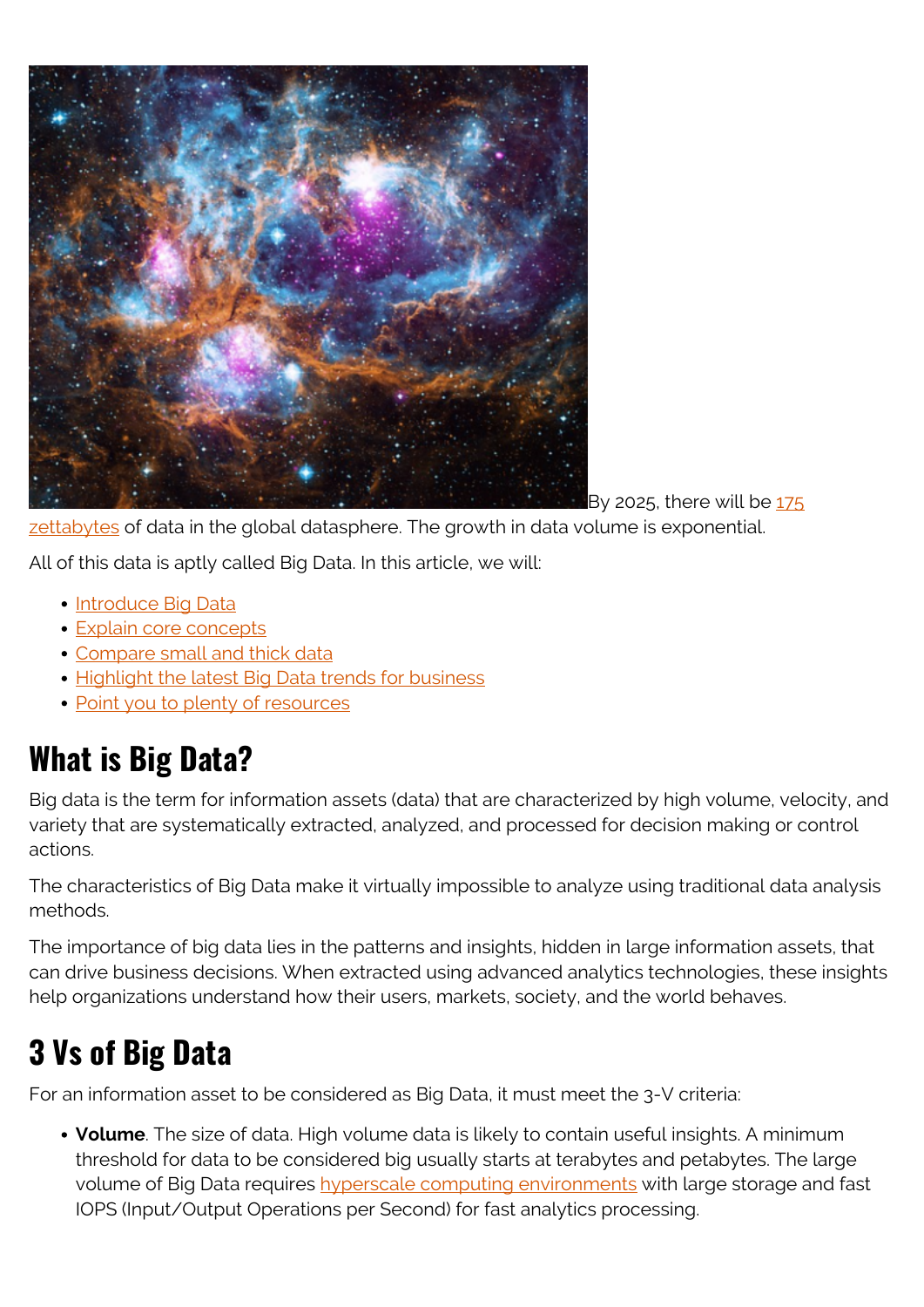

By 2025, there will be  $175$ 

[zettabytes](https://web.archive.org/web/20200521023302/https://seedscientific.com/how-much-data-is-created-every-day/) of data in the global datasphere. The growth in data volume is exponential.

All of this data is aptly called Big Data. In this article, we will:

- [Introduce Big Data](#page--1-0)
- [Explain core concepts](#page--1-0)
- [Compare small and thick data](#page--1-0)
- [Highlight the latest Big Data trends for business](#page--1-0)
- [Point you to plenty of resources](#page--1-0)

## **What is Big Data?**

Big data is the term for information assets (data) that are characterized by high volume, velocity, and variety that are systematically extracted, analyzed, and processed for decision making or control actions.

The characteristics of Big Data make it virtually impossible to analyze using traditional data analysis methods.

The importance of big data lies in the patterns and insights, hidden in large information assets, that can drive business decisions. When extracted using advanced analytics technologies, these insights help organizations understand how their users, markets, society, and the world behaves.

## **3 Vs of Big Data**

For an information asset to be considered as Big Data, it must meet the 3-V criteria:

**Volume**. The size of data. High volume data is likely to contain useful insights. A minimum threshold for data to be considered big usually starts at terabytes and petabytes. The large volume of Big Data requires [hyperscale computing environments](https://blogs.bmc.com/blogs/hyperscale-data-center/) with large storage and fast IOPS (Input/Output Operations per Second) for fast analytics processing.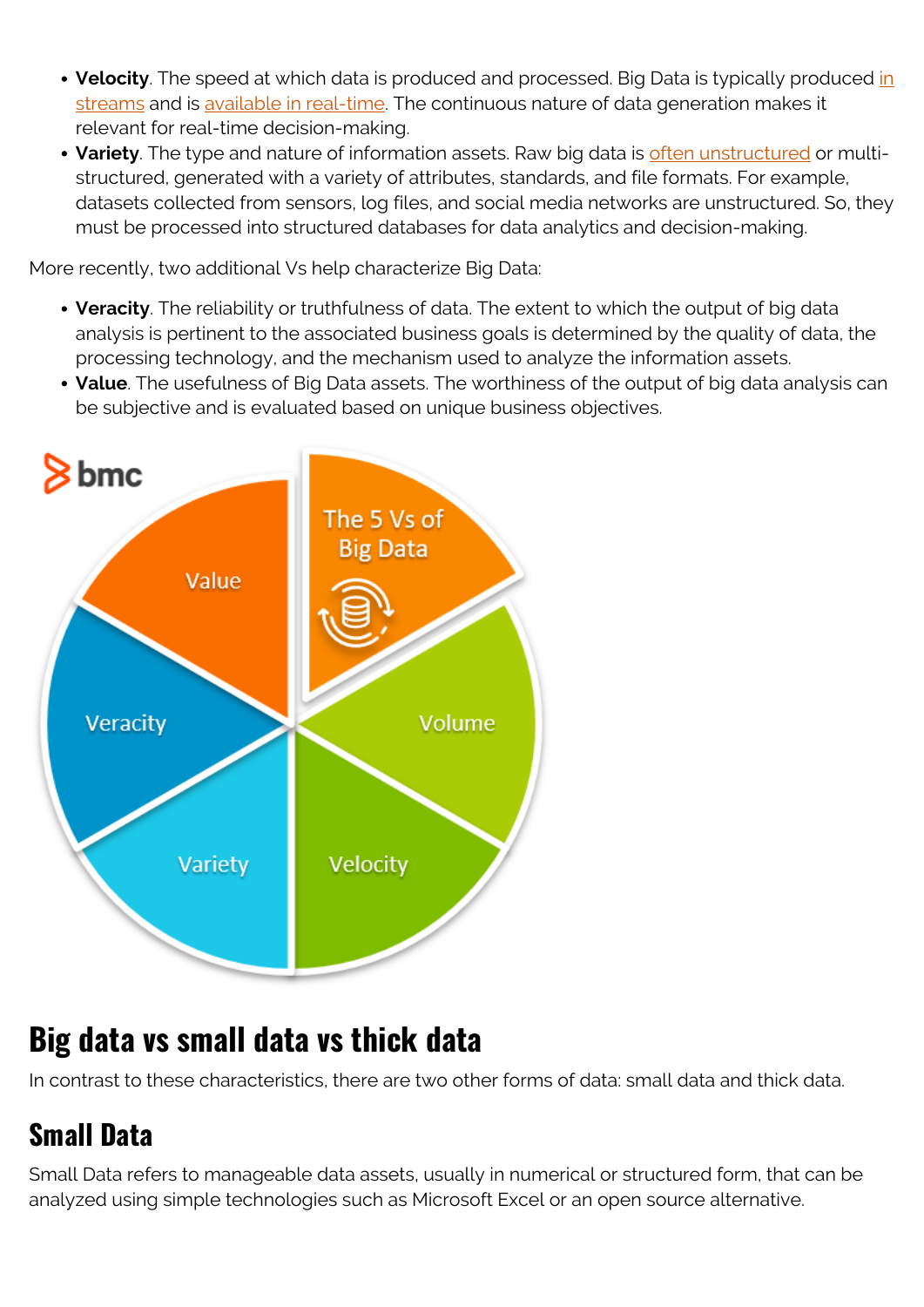- **Velocity**. The speed at which data is produced and processed. Big Data is typically produced [in](https://blogs.bmc.com/blogs/data-streaming/) [streams](https://blogs.bmc.com/blogs/data-streaming/) and is [available in real-time](https://blogs.bmc.com/blogs/batch-processing-stream-processing-real-time/). The continuous nature of data generation makes it relevant for real-time decision-making.
- **Variety**. The type and nature of information assets. Raw big data is [often unstructured](https://blogs.bmc.com/blogs/structured-vs-unstructured-data/) or multistructured, generated with a variety of attributes, standards, and file formats. For example, datasets collected from sensors, log files, and social media networks are unstructured. So, they must be processed into structured databases for data analytics and decision-making.

More recently, two additional Vs help characterize Big Data:

- **Veracity**. The reliability or truthfulness of data. The extent to which the output of big data analysis is pertinent to the associated business goals is determined by the quality of data, the processing technology, and the mechanism used to analyze the information assets.
- **Value**. The usefulness of Big Data assets. The worthiness of the output of big data analysis can be subjective and is evaluated based on unique business objectives.



## **Big data vs small data vs thick data**

In contrast to these characteristics, there are two other forms of data: small data and thick data.

## **Small Data**

Small Data refers to manageable data assets, usually in numerical or structured form, that can be analyzed using simple technologies such as Microsoft Excel or an open source alternative.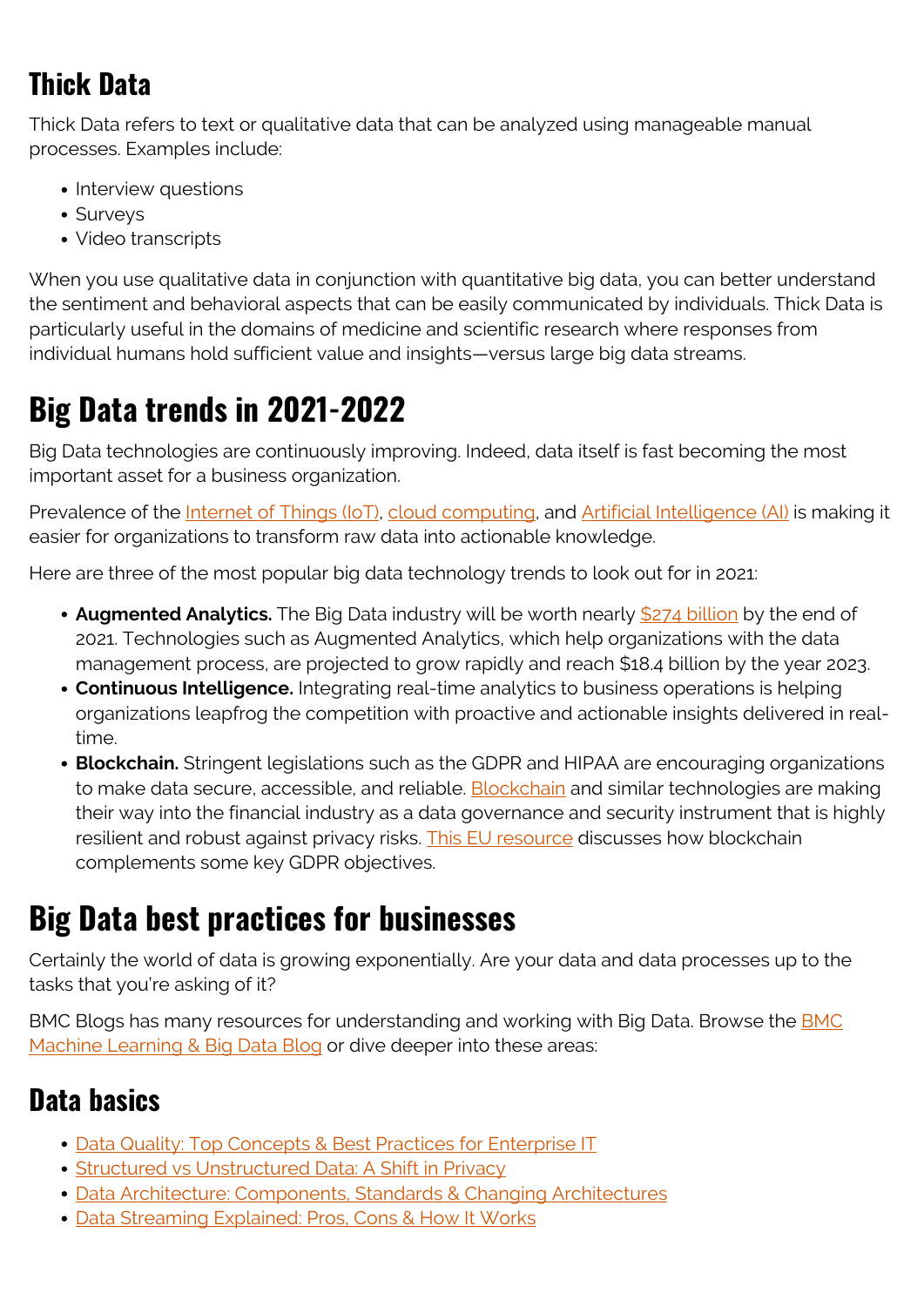## **Thick Data**

Thick Data refers to text or qualitative data that can be analyzed using manageable manual processes. Examples include:

- Interview questions
- Surveys
- Video transcripts

When you use qualitative data in conjunction with quantitative big data, you can better understand the sentiment and behavioral aspects that can be easily communicated by individuals. Thick Data is particularly useful in the domains of medicine and scientific research where responses from individual humans hold sufficient value and insights—versus large big data streams.

## **Big Data trends in 2021-2022**

Big Data technologies are continuously improving. Indeed, data itself is fast becoming the most important asset for a business organization.

Prevalence of the *[Internet of Things \(IoT\)](https://blogs.bmc.com/blogs/iot-internet-of-things/)*, [cloud computing](https://blogs.bmc.com/blogs/public-private-hybrid-cloud/), and *[Artificial Intelligence \(AI\)](https://blogs.bmc.com/blogs/artificial-intelligence-vs-machine-learning/)* is making it easier for organizations to transform raw data into actionable knowledge.

Here are three of the most popular big data technology trends to look out for in 2021:

- **Augmented Analytics.** The Big Data industry will be worth nearly [\\$274 billion](https://techhq.com/2021/02/10-big-data-trends-for-intelligent-businesses/) by the end of 2021. Technologies such as Augmented Analytics, which help organizations with the data management process, are projected to grow rapidly and reach \$18.4 billion by the year 2023.
- **Continuous Intelligence.** Integrating real-time analytics to business operations is helping organizations leapfrog the competition with proactive and actionable insights delivered in realtime.
- **Blockchain.** Stringent legislations such as the GDPR and HIPAA are encouraging organizations to make data secure, accessible, and reliable. [Blockchain](https://blogs.bmc.com/blogs/enterprise-blockchain/) and similar technologies are making their way into the financial industry as a data governance and security instrument that is highly resilient and robust against privacy risks. [This EU resource](https://www.europarl.europa.eu/RegData/etudes/STUD/2019/634445/EPRS_STU(2019)634445_EN.pdf) discusses how blockchain complements some key GDPR objectives.

## **Big Data best practices for businesses**

Certainly the world of data is growing exponentially. Are your data and data processes up to the tasks that you're asking of it?

BMC Blogs has many resources for understanding and working with Big Data. Browse the **BMC** [Machine Learning & Big Data Blog](https://blogs.bmc.com/blogs/categories/machine-learning-big-data/) or dive deeper into these areas:

#### **Data basics**

- [Data Quality: Top Concepts & Best Practices for Enterprise IT](https://blogs.bmc.com/blogs/data-quality/)
- [Structured vs Unstructured Data: A Shift in Privacy](https://blogs.bmc.com/blogs/structured-vs-unstructured-data/)
- [Data Architecture: Components, Standards & Changing Architectures](https://blogs.bmc.com/blogs/data-architecture/)
- [Data Streaming Explained: Pros, Cons & How It Works](https://blogs.bmc.com/blogs/data-streaming/)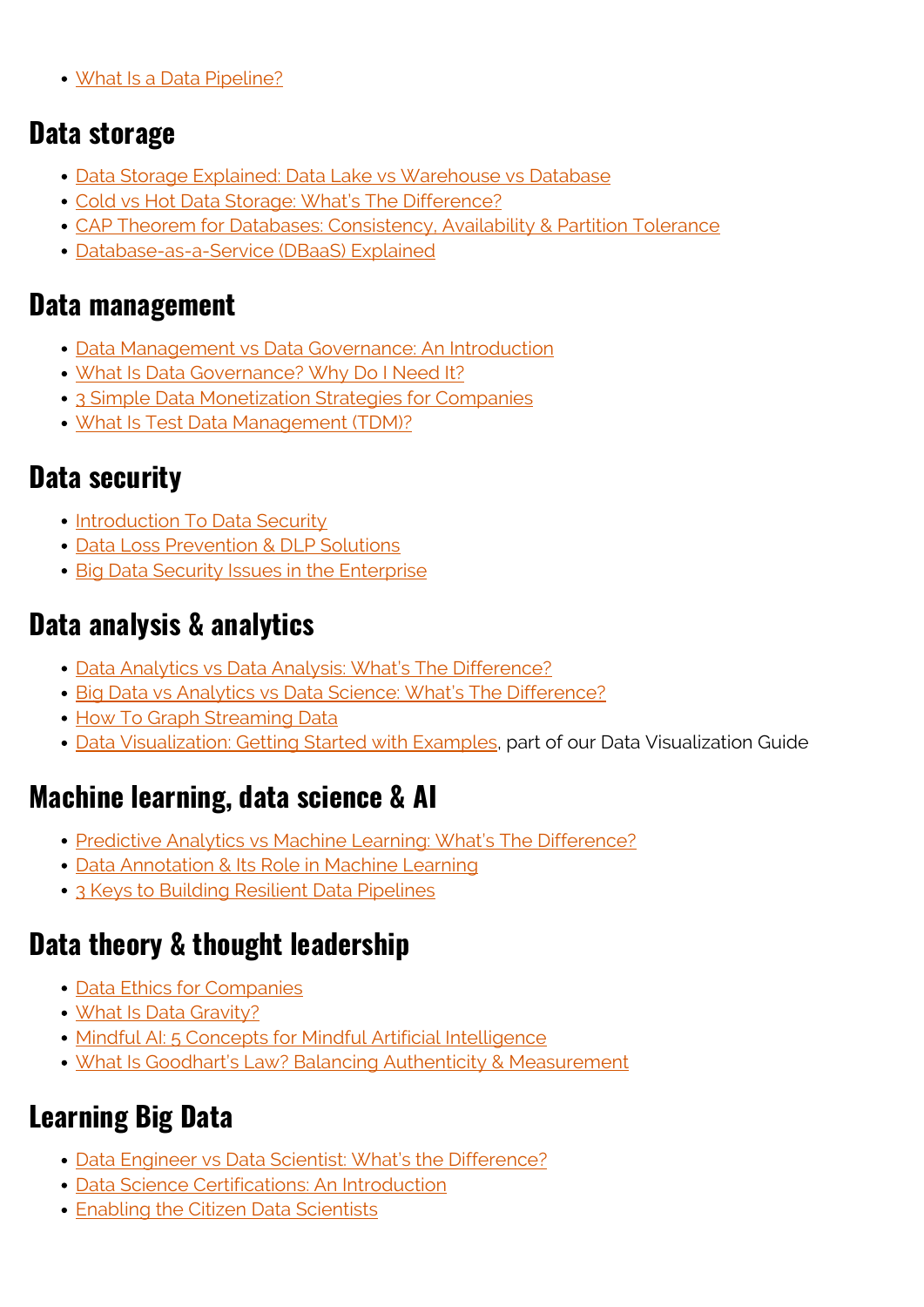[What Is a Data Pipeline?](https://blogs.bmc.com/blogs/data-pipeline/)

#### **Data storage**

- [Data Storage Explained: Data Lake vs Warehouse vs Database](https://blogs.bmc.com/blogs/data-lake-vs-data-warehouse-vs-database-whats-the-difference/)
- [Cold vs Hot Data Storage: What's The Difference?](https://blogs.bmc.com/blogs/cold-vs-hot-data-storage/)
- [CAP Theorem for Databases: Consistency, Availability & Partition Tolerance](https://blogs.bmc.com/blogs/cap-theorem/)
- [Database-as-a-Service \(DBaaS\) Explained](https://blogs.bmc.com/blogs/dbaas-database-as-a-service/)

#### **Data management**

- [Data Management vs Data Governance: An Introduction](https://blogs.bmc.com/blogs/data-governance-data-management/)
- [What Is Data Governance? Why Do I Need It?](https://blogs.bmc.com/blogs/data-governance/)
- [3 Simple Data Monetization Strategies for Companies](https://blogs.bmc.com/blogs/data-strategy/)
- [What Is Test Data Management \(TDM\)?](https://blogs.bmc.com/blogs/what-is-test-data-management-and-why-do-we-need-it/)

#### **Data security**

- [Introduction To Data Security](https://blogs.bmc.com/blogs/data-security/)
- [Data Loss Prevention & DLP Solutions](https://blogs.bmc.com/blogs/dlp-data-loss-prevention/)
- [Big Data Security Issues in the Enterprise](https://www.bmc.com/blogs/big-data-security-issues-enterprise/)

#### **Data analysis & analytics**

- [Data Analytics vs Data Analysis: What's The Difference?](https://blogs.bmc.com/blogs/data-analytics-vs-data-analysis/)
- · [Big Data vs Analytics vs Data Science: What's The Difference?](https://blogs.bmc.com/blogs/big-data-vs-analytics/)
- [How To Graph Streaming Data](https://blogs.bmc.com/blogs/basics-graphing-streaming-big-data/)
- [Data Visualization: Getting Started with Examples,](https://blogs.bmc.com/blogs/data-visualization/) part of our Data Visualization Guide

#### **Machine learning, data science & AI**

- [Predictive Analytics vs Machine Learning: What's The Difference?](https://blogs.bmc.com/blogs/machine-learning-vs-predictive-analytics/)
- [Data Annotation & Its Role in Machine Learning](https://blogs.bmc.com/blogs/data-annotation/)
- [3 Keys to Building Resilient Data Pipelines](https://blogs.bmc.com/blogs/resilient-data-pipelines/)

### **Data theory & thought leadership**

- [Data Ethics for Companies](https://blogs.bmc.com/blogs/data-ethics-responsibility/)
- [What Is Data Gravity?](https://blogs.bmc.com/blogs/data-gravity/)
- [Mindful AI: 5 Concepts for Mindful Artificial Intelligence](https://blogs.bmc.com/blogs/mindful-ai/)
- [What Is Goodhart's Law? Balancing Authenticity & Measurement](https://blogs.bmc.com/blogs/goodharts-law/)

## **Learning Big Data**

- [Data Engineer vs Data Scientist: What's the Difference?](https://blogs.bmc.com/blogs/data-engineer-vs-data-scientist/)
- [Data Science Certifications: An Introduction](https://blogs.bmc.com/blogs/data-science-certifications/)
- **[Enabling the Citizen Data Scientists](https://blogs.bmc.com/blogs/citizen-data-scientist/)**